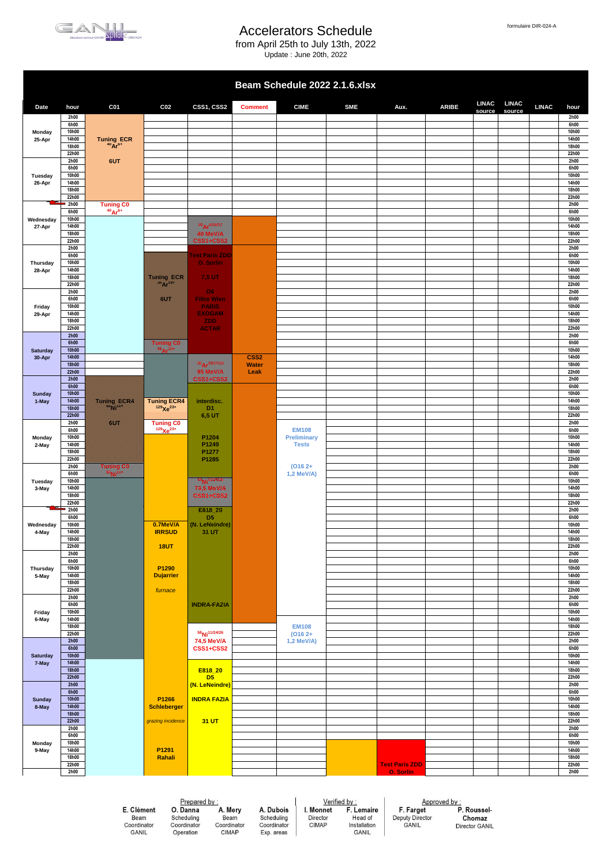

from April 25th to July 13th, 2022

Update : June 20th, 2022

| formulaire DIR-024-A |
|----------------------|
|                      |
|                      |

|                           |                       |                                    |                                                                                                                                                                                                                                  |                                                                                                                                                                                                                                  |                  | Beam Schedule 2022 2.1.6.xlsx      |            |                       |              |                        |                        |              |                |
|---------------------------|-----------------------|------------------------------------|----------------------------------------------------------------------------------------------------------------------------------------------------------------------------------------------------------------------------------|----------------------------------------------------------------------------------------------------------------------------------------------------------------------------------------------------------------------------------|------------------|------------------------------------|------------|-----------------------|--------------|------------------------|------------------------|--------------|----------------|
| Date                      | hour                  | C <sub>01</sub>                    | C <sub>02</sub>                                                                                                                                                                                                                  | CSS1, CSS2                                                                                                                                                                                                                       | <b>Comment</b>   | <b>CIME</b>                        | <b>SME</b> | Aux.                  | <b>ARIBE</b> | <b>LINAC</b><br>source | <b>LINAC</b><br>source | <b>LINAC</b> | hour           |
|                           | 2h00<br>6h00          |                                    |                                                                                                                                                                                                                                  |                                                                                                                                                                                                                                  |                  |                                    |            |                       |              |                        |                        |              | 2h00<br>6h00   |
| Monday                    | 10h00                 |                                    |                                                                                                                                                                                                                                  |                                                                                                                                                                                                                                  |                  |                                    |            |                       |              |                        |                        |              | 10h00          |
| 25-Apr                    | 14h00<br>18h00        | Tuning ECR<br>$^{40}Ar^{6+}$       |                                                                                                                                                                                                                                  |                                                                                                                                                                                                                                  |                  |                                    |            |                       |              |                        |                        |              | 14h00<br>18h00 |
|                           | 22h00                 |                                    |                                                                                                                                                                                                                                  |                                                                                                                                                                                                                                  |                  |                                    |            |                       |              |                        |                        |              | 22h00          |
|                           | 2h00<br>6h00          | 6UT                                |                                                                                                                                                                                                                                  |                                                                                                                                                                                                                                  |                  |                                    |            |                       |              |                        |                        |              | 2h00<br>6h00   |
| Tuesday                   | 10h00                 |                                    |                                                                                                                                                                                                                                  |                                                                                                                                                                                                                                  |                  |                                    |            |                       |              |                        |                        |              | 10h00          |
| 26-Apr                    | 14h00<br>18h00        |                                    |                                                                                                                                                                                                                                  |                                                                                                                                                                                                                                  |                  |                                    |            |                       |              |                        |                        |              | 14h00<br>18h00 |
|                           | 22h00                 |                                    |                                                                                                                                                                                                                                  |                                                                                                                                                                                                                                  |                  |                                    |            |                       |              |                        |                        |              | 22h00          |
|                           | 2h00<br>6h00          | <b>Tuning C0</b><br>$^{40}Ar^{6+}$ |                                                                                                                                                                                                                                  |                                                                                                                                                                                                                                  |                  |                                    |            |                       |              |                        |                        |              | 2h00<br>6h00   |
| Wednesday                 | 10h00                 |                                    |                                                                                                                                                                                                                                  | <u>mana ya kutoka mwaka wa 1999 ya kutoka mwaka wa 1999 ya kutoka mwaka uzi ya kutoka mwaka uzi ya kutoka mwaka </u>                                                                                                             |                  |                                    |            |                       |              |                        |                        |              | 10h00          |
| 27-Apr                    | 14h00<br>18h00        |                                    |                                                                                                                                                                                                                                  | <u> Kabupatèn Bandaran Seba</u>                                                                                                                                                                                                  |                  |                                    |            |                       |              |                        |                        |              | 14h00<br>18h00 |
|                           | 22h00<br>2h00         |                                    |                                                                                                                                                                                                                                  | <b>1999 - 1999 - 1999 - 1999 - 1999 - 1999 - 1999 - 1999 - 1999 - 1999 - 1999 - 1999 - 1999 - 1999 - 1999 - 1999</b>                                                                                                             |                  |                                    |            |                       |              |                        |                        |              | 22h00<br>2h00  |
|                           | 6h00                  |                                    |                                                                                                                                                                                                                                  | <u> Baldelalo al local</u>                                                                                                                                                                                                       |                  |                                    |            |                       |              |                        |                        |              | 6h00           |
| Thursday<br>28-Apr        | 10h00<br>14h00        |                                    |                                                                                                                                                                                                                                  | <u>mille come</u>                                                                                                                                                                                                                |                  |                                    |            |                       |              |                        |                        |              | 10h00<br>14h00 |
|                           | 18h00                 |                                    | <u> Timografia (</u>                                                                                                                                                                                                             | Maria K                                                                                                                                                                                                                          |                  |                                    |            |                       |              |                        |                        |              | 18h00          |
|                           | 22h00<br>2h00         |                                    |                                                                                                                                                                                                                                  | <b>RANGER</b>                                                                                                                                                                                                                    |                  |                                    |            |                       |              |                        |                        |              | 22h00<br>2h00  |
|                           | 6h00                  |                                    | a kalendari daga ke daga dalam kalendari dan dalam kalendari dan dalam kalendari dalam kalendari dalam kalenda<br>Kalendari dalam kalendari dalam kalendari dalam kalendari dalam kalendari dalam kalendari dalam kalendari dala | <b>HALLANDSKAR</b>                                                                                                                                                                                                               |                  |                                    |            |                       |              |                        |                        |              | 6h00           |
| Friday<br>29-Apr          | 10h00<br>14h00        |                                    |                                                                                                                                                                                                                                  | marano<br><u> ENGELSKI</u>                                                                                                                                                                                                       |                  |                                    |            |                       |              |                        |                        |              | 10h00<br>14h00 |
|                           | 18h00                 |                                    |                                                                                                                                                                                                                                  | a an                                                                                                                                                                                                                             |                  |                                    |            |                       |              |                        |                        |              | 18h00          |
|                           | 22h00<br>2h00         |                                    |                                                                                                                                                                                                                                  | <u>manasa</u>                                                                                                                                                                                                                    |                  |                                    |            |                       |              |                        |                        |              | 22h00<br>2h00  |
|                           | 6h00                  |                                    |                                                                                                                                                                                                                                  |                                                                                                                                                                                                                                  |                  |                                    |            |                       |              |                        |                        |              | 6h00           |
| <b>Saturday</b><br>30-Apr | 10h00<br>14h00        |                                    |                                                                                                                                                                                                                                  |                                                                                                                                                                                                                                  | CSS <sub>2</sub> |                                    |            |                       |              |                        |                        |              | 10h00<br>14h00 |
|                           | <b>18h00</b><br>22h00 |                                    |                                                                                                                                                                                                                                  | a katika katika katika katika katika katika katika katika katika katika katika katika katika katika katika kat<br>Katika katika katika katika katika katika katika katika katika katika katika katika katika katika katika katik | Water            |                                    |            |                       |              |                        |                        |              | 18h00<br>22h00 |
|                           | 2h00                  |                                    |                                                                                                                                                                                                                                  | <u> Kabupatèn Bandaran Indonesia Seba</u><br><b>TANA MANA</b>                                                                                                                                                                    | Leak             |                                    |            |                       |              |                        |                        |              | 2h00           |
| <b>Sunday</b><br>1-May    | 6h00<br><b>10h00</b>  |                                    |                                                                                                                                                                                                                                  |                                                                                                                                                                                                                                  |                  |                                    |            |                       |              |                        |                        |              | 6h00<br>10h00  |
|                           | 14h00                 |                                    | Tuning ECR4                                                                                                                                                                                                                      | <b>1999 - 1999 - 1999 - 1999 - 1999 - 1999 - 1999 - 1999 - 1999 - 1999 - 1999 - 1999 - 1999 - 1999 - 1999 - 1999</b>                                                                                                             |                  |                                    |            |                       |              |                        |                        |              | 14h00          |
|                           | <b>18h00</b><br>22h00 |                                    |                                                                                                                                                                                                                                  | <u>mama</u>                                                                                                                                                                                                                      |                  |                                    |            |                       |              |                        |                        |              | 18h00<br>22h00 |
|                           | 2h00                  | 8388                               | <b>Tuning CO</b>                                                                                                                                                                                                                 |                                                                                                                                                                                                                                  |                  |                                    |            |                       |              |                        |                        |              | 2h00           |
| Monday                    | 6h00<br>10h00         |                                    | $129$ $Xe^{23+}$                                                                                                                                                                                                                 | <u>Mille Colle</u>                                                                                                                                                                                                               |                  | <b>EM108</b><br><b>Preliminary</b> |            |                       |              |                        |                        |              | 6h00<br>10h00  |
| 2-May                     | 14h00                 |                                    |                                                                                                                                                                                                                                  | <u>Mille Co</u>                                                                                                                                                                                                                  |                  | <b>Tests</b>                       |            |                       |              |                        |                        |              | 14h00          |
|                           | 18h00<br>22h00        |                                    |                                                                                                                                                                                                                                  | <u>Maria I</u><br>a Maria B                                                                                                                                                                                                      |                  |                                    |            |                       |              |                        |                        |              | 18h00<br>22h00 |
|                           | 2h00                  | m                                  |                                                                                                                                                                                                                                  |                                                                                                                                                                                                                                  |                  | $(O162+$                           |            |                       |              |                        |                        |              | 2h00           |
| Tuesday                   | 6h00<br>10h00         |                                    |                                                                                                                                                                                                                                  |                                                                                                                                                                                                                                  |                  | 1,2 MeV/A)                         |            |                       |              |                        |                        |              | 6h00<br>10h00  |
| 3-May                     | 14h00<br>18h00        |                                    |                                                                                                                                                                                                                                  | 745 MeVik<br><b>05514552</b>                                                                                                                                                                                                     |                  |                                    |            |                       |              |                        |                        |              | 14h00<br>18h00 |
|                           | 22h00                 |                                    |                                                                                                                                                                                                                                  |                                                                                                                                                                                                                                  |                  |                                    |            |                       |              |                        |                        |              | 22h00          |
|                           | 2h00<br>6h00          |                                    |                                                                                                                                                                                                                                  | ---<br>a.                                                                                                                                                                                                                        |                  |                                    |            |                       |              |                        |                        |              | 2h00<br>6h00   |
| Wednesday                 | 10h00                 |                                    | 0.7MeV/A                                                                                                                                                                                                                         | (N. LeNomare)                                                                                                                                                                                                                    |                  |                                    |            |                       |              |                        |                        |              | 10h00          |
| 4-May                     | 14h00<br>18h00        |                                    | <b>IRRSUD</b>                                                                                                                                                                                                                    | m                                                                                                                                                                                                                                |                  |                                    |            |                       |              |                        |                        |              | 14h00<br>18h00 |
|                           | 22h00                 |                                    | <b>18UT</b>                                                                                                                                                                                                                      |                                                                                                                                                                                                                                  |                  |                                    |            |                       |              |                        |                        |              | 22h00          |
|                           | 2h00<br>6h00          |                                    |                                                                                                                                                                                                                                  |                                                                                                                                                                                                                                  |                  |                                    |            |                       |              |                        |                        |              | 2h00<br>6h00   |
| Thursday                  | 10h00                 |                                    | P1290                                                                                                                                                                                                                            |                                                                                                                                                                                                                                  |                  |                                    |            |                       |              |                        |                        |              | 10h00          |
| 5-May                     | 14h00<br>18h00        |                                    | <b>Dujarrier</b>                                                                                                                                                                                                                 |                                                                                                                                                                                                                                  |                  |                                    |            |                       |              |                        |                        |              | 14h00<br>18h00 |
|                           | 22h00                 |                                    | furnace                                                                                                                                                                                                                          |                                                                                                                                                                                                                                  |                  |                                    |            |                       |              |                        |                        |              | 22h00          |
|                           | 2h00<br>6h00          |                                    |                                                                                                                                                                                                                                  | NORAFAZIA                                                                                                                                                                                                                        |                  |                                    |            |                       |              |                        |                        |              | 2h00<br>6h00   |
| Friday                    | 10h00<br>14h00        |                                    |                                                                                                                                                                                                                                  |                                                                                                                                                                                                                                  |                  |                                    |            |                       |              |                        |                        |              | 10h00<br>14h00 |
| 6-May                     | 18h00                 |                                    |                                                                                                                                                                                                                                  |                                                                                                                                                                                                                                  |                  | <b>EM108</b>                       |            |                       |              |                        |                        |              | 18h00          |
|                           | 22h00<br>2h00         |                                    |                                                                                                                                                                                                                                  | 58 Ni <sup>11/24/26</sup><br>74,5 MeV/A                                                                                                                                                                                          |                  | $(0162 +$<br>1,2 MeV/A)            |            |                       |              |                        |                        |              | 22h00<br>2h00  |
|                           | 6h00                  |                                    |                                                                                                                                                                                                                                  | CSS1+CSS2                                                                                                                                                                                                                        |                  |                                    |            |                       |              |                        |                        |              | 6h00           |
| <b>Saturday</b><br>7-May  | <b>10h00</b><br>14h00 |                                    |                                                                                                                                                                                                                                  |                                                                                                                                                                                                                                  |                  |                                    |            |                       |              |                        |                        |              | 10h00<br>14h00 |
|                           | <b>18h00</b>          |                                    |                                                                                                                                                                                                                                  | E818_20                                                                                                                                                                                                                          |                  |                                    |            |                       |              |                        |                        |              | 18h00          |
|                           | 22h00<br>2h00         |                                    |                                                                                                                                                                                                                                  | D <sub>5</sub><br>(N. LeNeindre)                                                                                                                                                                                                 |                  |                                    |            |                       |              |                        |                        |              | 22h00<br>2h00  |
|                           | 6h00                  |                                    |                                                                                                                                                                                                                                  |                                                                                                                                                                                                                                  |                  |                                    |            |                       |              |                        |                        |              | 6h00           |
| Sunday<br>8-May           | <b>10h00</b><br>14h00 |                                    | P1266<br><b>Schleberger</b>                                                                                                                                                                                                      | <b>INDRA FAZIA</b>                                                                                                                                                                                                               |                  |                                    |            |                       |              |                        |                        |              | 10h00<br>14h00 |
|                           | <b>18h00</b>          |                                    |                                                                                                                                                                                                                                  |                                                                                                                                                                                                                                  |                  |                                    |            |                       |              |                        |                        |              | 18h00          |
|                           | 22h00<br>2h00         |                                    | grazing incidence                                                                                                                                                                                                                | 31 UT                                                                                                                                                                                                                            |                  |                                    |            |                       |              |                        |                        |              | 22h00<br>2h00  |
|                           | 6h00                  |                                    |                                                                                                                                                                                                                                  |                                                                                                                                                                                                                                  |                  |                                    |            |                       |              |                        |                        |              | 6h00<br>10h00  |
| Monday<br>9-May           | 10h00<br>14h00        |                                    | P1291                                                                                                                                                                                                                            |                                                                                                                                                                                                                                  |                  |                                    |            |                       |              |                        |                        |              | 14h00          |
|                           | 18h00<br>22h00        |                                    | Rahali                                                                                                                                                                                                                           |                                                                                                                                                                                                                                  |                  |                                    |            | <b>Test Paris ZDD</b> |              |                        |                        |              | 18h00<br>22h00 |
|                           | 2h00                  |                                    |                                                                                                                                                                                                                                  |                                                                                                                                                                                                                                  |                  |                                    |            | O. Sorlin             |              |                        |                        |              | 2h00           |
|                           |                       |                                    |                                                                                                                                                                                                                                  |                                                                                                                                                                                                                                  |                  |                                    |            |                       |              |                        |                        |              |                |

E. Clément E. Ordinator<br>Beam<br>Coordinator<br>GANIL

Prepared by :<br> **O. Danna**<br>
Scheduling<br>
Coordinator C Operation

A. Mery A. Dubois Beam<br>Coordinator<br>CIMAP Scheduling<br>Coordinator Exp. areas  $Verified by :  
I. Monnet F. Lemaire$ </u> Director<br>CIMAP Head of<br>Installation<br>GANIL

Approved by :<br>
F. Farget P. Roussel-<br>
Deputy Director Chomaz<br>
GANIL Director GANIL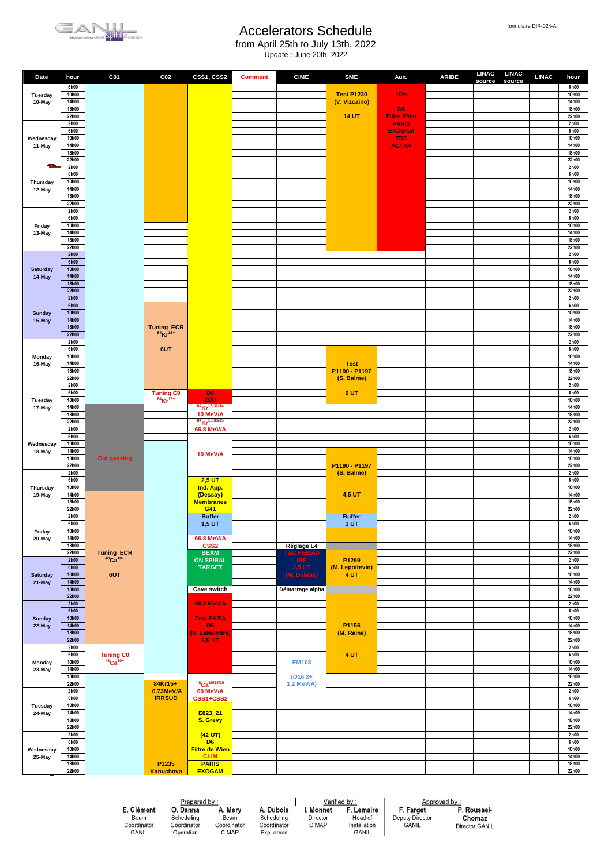



from April 25th to July 13th, 2022 Update : June 20th, 2022

| Date                | hour                  | C <sub>01</sub>                              | C <sub>02</sub>                          | CSS1, CSS2                            | <b>Comment</b> | <b>CIME</b>     | <b>SME</b>                         | Aux.                               | <b>ARIBE</b> | <b>LINAC</b><br>source | <b>LINAC</b><br>source | <b>LINAC</b> | hour           |
|---------------------|-----------------------|----------------------------------------------|------------------------------------------|---------------------------------------|----------------|-----------------|------------------------------------|------------------------------------|--------------|------------------------|------------------------|--------------|----------------|
|                     | 6h00                  |                                              |                                          |                                       |                |                 |                                    |                                    |              |                        |                        |              | 6h00           |
| Tuesday<br>10-May   | 10h00<br>14h00        |                                              |                                          |                                       |                |                 | <b>Test P1230</b><br>(V. Vizcaino) | 10%                                |              |                        |                        |              | 10h00<br>14h00 |
|                     | 18h00                 |                                              |                                          |                                       |                |                 |                                    | D <sub>6</sub>                     |              |                        |                        |              | 18h00          |
|                     | 22h00<br>2h00         |                                              |                                          |                                       |                |                 | <b>14 UT</b>                       | <b>Filtre Wien</b><br><b>PARIS</b> |              |                        |                        |              | 22h00<br>2h00  |
|                     | 6h00                  |                                              |                                          |                                       |                |                 |                                    | <b>EXOGAM</b>                      |              |                        |                        |              | 6h00           |
| Wednesday<br>11-May | 10h00<br>14h00        |                                              |                                          |                                       |                |                 |                                    | <b>ZDD</b><br><b>ACTAR</b>         |              |                        |                        |              | 10h00<br>14h00 |
|                     | 18h00                 |                                              |                                          |                                       |                |                 |                                    |                                    |              |                        |                        |              | 18h00          |
|                     | 22h00<br>2h00         |                                              |                                          |                                       |                |                 |                                    |                                    |              |                        |                        |              | 22h00<br>2h00  |
|                     | 6h00                  |                                              |                                          |                                       |                |                 |                                    |                                    |              |                        |                        |              | 6h00           |
| Thursday            | 10h00<br>14h00        |                                              |                                          |                                       |                |                 |                                    |                                    |              |                        |                        |              | 10h00<br>14h00 |
| 12-May              | 18h00                 |                                              |                                          |                                       |                |                 |                                    |                                    |              |                        |                        |              | 18h00          |
|                     | 22h00<br>2h00         |                                              |                                          |                                       |                |                 |                                    |                                    |              |                        |                        |              | 22h00<br>2h00  |
|                     | 6h00                  |                                              |                                          |                                       |                |                 |                                    |                                    |              |                        |                        |              | 6h00           |
| Friday              | 10h00                 |                                              |                                          |                                       |                |                 |                                    |                                    |              |                        |                        |              | 10h00          |
| 13-May              | 14h00<br>18h00        |                                              |                                          |                                       |                |                 |                                    |                                    |              |                        |                        |              | 14h00<br>18h00 |
|                     | 22h00                 |                                              |                                          |                                       |                |                 |                                    |                                    |              |                        |                        |              | 22h00          |
|                     | 2h00<br>6h00          |                                              |                                          |                                       |                |                 |                                    |                                    |              |                        |                        |              | 2h00<br>6h00   |
| <b>Saturday</b>     | <b>10h00</b>          |                                              |                                          |                                       |                |                 |                                    |                                    |              |                        |                        |              | 10h00          |
| 14-May              | 14h00<br><b>18h00</b> |                                              |                                          |                                       |                |                 |                                    |                                    |              |                        |                        |              | 14h00<br>18h00 |
|                     | 22h00                 |                                              |                                          |                                       |                |                 |                                    |                                    |              |                        |                        |              | 22h00          |
|                     | 2h00<br>6h00          |                                              |                                          |                                       |                |                 |                                    |                                    |              |                        |                        |              | 2h00<br>6h00   |
| <b>Sunday</b>       | <b>10h00</b>          |                                              |                                          |                                       |                |                 |                                    |                                    |              |                        |                        |              | 10h00          |
| 15-May              | 14h00<br><b>18h00</b> |                                              |                                          |                                       |                |                 |                                    |                                    |              |                        |                        |              | 14h00<br>18h00 |
|                     | 22h00                 |                                              | Tuning ECR<br>$^{84}$ Kr <sup>15+</sup>  |                                       |                |                 |                                    |                                    |              |                        |                        |              | 22h00          |
|                     | 2h00<br>6h00          |                                              | 6UT                                      |                                       |                |                 |                                    |                                    |              |                        |                        |              | 2h00<br>6h00   |
| Monday              | 10h00                 |                                              |                                          |                                       |                |                 |                                    |                                    |              |                        |                        |              | 10h00          |
| 16-May              | 14h00<br>18h00        |                                              |                                          |                                       |                |                 | <b>Test</b><br>P1190 - P1197       |                                    |              |                        |                        |              | 14h00<br>18h00 |
|                     | 22h00                 |                                              |                                          |                                       |                |                 | (S. Balme)                         |                                    |              |                        |                        |              | 22h00          |
|                     | 2h00<br>6h00          |                                              |                                          | D <sub>6</sub>                        |                |                 | 6 UT                               |                                    |              |                        |                        |              | 2h00<br>6h00   |
| Tuesday<br>17-May   | 10h00                 |                                              | <b>Tuning CO</b><br>$84 \text{Kr}^{15+}$ | <b>ZDD</b>                            |                |                 |                                    |                                    |              |                        |                        |              | 10h00          |
|                     | 14h00                 |                                              |                                          | 84 Kr <sup>15/32/34</sup>             |                |                 |                                    |                                    |              |                        |                        |              | 14h00          |
|                     | 18h00<br>22h00        |                                              |                                          | 10 MeV/A<br>84 Kr <sup>15/33/35</sup> |                |                 |                                    |                                    |              |                        |                        |              | 18h00<br>22h00 |
|                     | 2h00                  |                                              |                                          | <b>66.8 MeV/A</b>                     |                |                 |                                    |                                    |              |                        |                        |              | 2h00           |
| Wednesday           | 6h00<br>10h00         |                                              |                                          |                                       |                |                 |                                    |                                    |              |                        |                        |              | 6h00<br>10h00  |
| 18-May              | 14h00                 |                                              |                                          | 10 MeV/A                              |                |                 |                                    |                                    |              |                        |                        |              | 14h00          |
|                     | 18h00<br>22h00        | <b>Out gassing</b>                           |                                          |                                       |                |                 | P1190 - P1197                      |                                    |              |                        |                        |              | 18h00<br>22h00 |
|                     | 2h00                  |                                              |                                          |                                       |                |                 | (S. Balme)                         |                                    |              |                        |                        |              | 2h00           |
| Thursday            | 6h00<br>10h00         |                                              |                                          | $2,5$ UT<br>Ind. App.                 |                |                 |                                    |                                    |              |                        |                        |              | 6h00<br>10h00  |
| 19-May              | 14h00                 |                                              |                                          | (Dessay)                              |                |                 | 4,5 UT                             |                                    |              |                        |                        |              | 14h00          |
|                     | 18h00<br>22h00        |                                              |                                          | <b>Membranes</b><br>G41               |                |                 |                                    |                                    |              |                        |                        |              | 18h00<br>22h00 |
|                     | 2h00                  |                                              |                                          | <b>Buffer</b>                         |                |                 | <b>Buffer</b>                      |                                    |              |                        |                        |              | 2h00           |
| Friday              | 6h00<br>10h00         |                                              |                                          | 1,5 UT                                |                |                 | 1 <sub>UT</sub>                    |                                    |              |                        |                        |              | 6h00<br>10h00  |
| 20-May              | 14h00                 |                                              |                                          | 66.8 MeV/A                            |                |                 |                                    |                                    |              |                        |                        |              | 14h00          |
|                     | 18h00<br>22h00        |                                              |                                          | CSS <sub>2</sub><br><b>BEAM</b>       |                | Réglage L4      |                                    |                                    |              |                        |                        |              | 18h00<br>22h00 |
|                     | 2h00                  | Tuning ECR<br>$^{48}$ Ca <sup>10+</sup>      |                                          | <b>ON SPIRAL</b>                      |                |                 | P1269                              |                                    |              |                        |                        |              | 2h00           |
| <b>Saturday</b>     | 6h00<br><b>10h00</b>  | 6UT                                          |                                          | <b>TARGET</b>                         |                | <b>2,5 UT</b>   | (M. Lepoitevin)<br>4 UT            |                                    |              |                        |                        |              | 6h00<br>10h00  |
| 21-May              | 14h00                 |                                              |                                          |                                       |                |                 |                                    |                                    |              |                        |                        |              | 14h00          |
|                     | <b>18h00</b><br>22h00 |                                              |                                          | Cave switch                           |                | Démarrage alpha |                                    |                                    |              |                        |                        |              | 18h00<br>22h00 |
|                     | 2h00                  |                                              |                                          | <b>66.8 MeV/A</b>                     |                |                 |                                    |                                    |              |                        |                        |              | 2h00           |
| <b>Sunday</b>       | 6h00<br>10h00         |                                              |                                          | <b>Test FAZIA</b>                     |                |                 |                                    |                                    |              |                        |                        |              | 6h00<br>10h00  |
| 22-May              | 14h00                 |                                              |                                          | D <sub>5</sub>                        |                |                 | P1156                              |                                    |              |                        |                        |              | 14h00          |
|                     | <b>18h00</b><br>22h00 |                                              |                                          | (N. LeNeindre)<br><b>5,5 UT</b>       |                |                 | (M. Raine)                         |                                    |              |                        |                        |              | 18h00<br>22h00 |
|                     | 2h00                  |                                              |                                          |                                       |                |                 |                                    |                                    |              |                        |                        |              | 2h00           |
|                     | 6h00<br>10h00         | Tuning C0<br><sup>48</sup> Ca <sup>10+</sup> |                                          |                                       |                | <b>EM108</b>    | 4 UT                               |                                    |              |                        |                        |              | 6h00<br>10h00  |
| Monday<br>23-May    | 14h00                 |                                              |                                          |                                       |                |                 |                                    |                                    |              |                        |                        |              | 14h00          |
|                     | 18h00                 |                                              |                                          | 48 <sub>Ca</sub> 10/18/19             |                | $(0162 +$       |                                    |                                    |              |                        |                        |              | 18h00          |
|                     | 22h00<br>2h00         |                                              | 84Kr15+<br>0.73MeV/A                     | 60 MeV/A                              |                | 1,2 MeV/A)      |                                    |                                    |              |                        |                        |              | 22h00<br>2h00  |
|                     | 6h00                  |                                              | <b>IRRSUD</b>                            | CSS1+CSS2                             |                |                 |                                    |                                    |              |                        |                        |              | 6h00           |
| Tuesday<br>24-May   | 10h00<br>14h00        |                                              |                                          | E823_21                               |                |                 |                                    |                                    |              |                        |                        |              | 10h00<br>14h00 |
|                     | 18h00                 |                                              |                                          | S. Grevy                              |                |                 |                                    |                                    |              |                        |                        |              | 18h00          |
|                     | 22h00<br>2h00         |                                              |                                          | (42 UT)                               |                |                 |                                    |                                    |              |                        |                        |              | 22h00<br>2h00  |
|                     | 6h00                  |                                              |                                          | D <sub>6</sub>                        |                |                 |                                    |                                    |              |                        |                        |              | 6h00           |
| Wednesday<br>25-May | 10h00<br>14h00        |                                              |                                          | <b>Filtre de Wien</b><br><b>CLIM</b>  |                |                 |                                    |                                    |              |                        |                        |              | 10h00<br>14h00 |
|                     | 18h00                 |                                              | P1235                                    | <b>PARIS</b>                          |                |                 |                                    |                                    |              |                        |                        |              | 18h00          |
|                     | 22h00                 |                                              | <b>Kanuchova</b>                         | <b>EXOGAM</b>                         |                |                 |                                    |                                    |              |                        |                        |              | 22h00          |

E. Clément E. Ordinator<br>Beam<br>Coordinator<br>GANIL

Prepared by :<br> **O. Danna**<br>
Scheduling<br>
Coordinator C A. Mery Beam<br>Coordinator<br>CIMAP Operation

A. Dubois Scheduling<br>Coordinator Exp. areas  $Verified by :  
I. Monnet F. Lemaire$ </u> Director<br>CIMAP Head of<br>Installation<br>GANIL

Approved by :<br>
F. Farget P. Roussel-<br>
Deputy Director Chomaz<br>
GANIL Director GANIL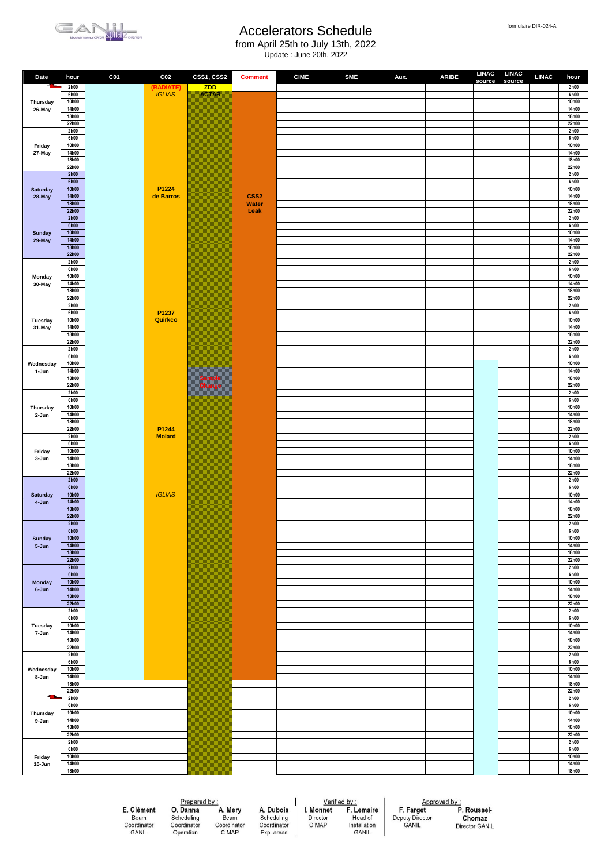

from April 25th to July 13th, 2022 Update : June 20th, 2022

| Date               | hour                  | C <sub>01</sub> | C <sub>02</sub>  | CSS1, CSS2        | <b>Comment</b>                   | <b>CIME</b> | <b>SME</b> | Aux. | <b>ARIBE</b> | source | LINAC LINAC<br>source | <b>LINAC</b> | hour           |
|--------------------|-----------------------|-----------------|------------------|-------------------|----------------------------------|-------------|------------|------|--------------|--------|-----------------------|--------------|----------------|
| H                  | 2h00                  |                 | (RADIATE)        | <b>ZDD</b>        |                                  |             |            |      |              |        |                       |              | 2h00           |
|                    | 6h00<br>10h00         |                 | <b>IGLIAS</b>    | <b>SANDRA COM</b> |                                  |             |            |      |              |        |                       |              | 6h00<br>10h00  |
| Thursday<br>26-May | 14h00                 |                 |                  |                   |                                  |             |            |      |              |        |                       |              | 14h00          |
|                    | 18h00                 |                 |                  |                   |                                  |             |            |      |              |        |                       |              | 18h00          |
|                    | 22h00                 |                 |                  |                   |                                  |             |            |      |              |        |                       |              | 22h00          |
|                    | 2h00<br>6h00          |                 |                  |                   |                                  |             |            |      |              |        |                       |              | 2h00<br>6h00   |
| Friday             | 10h00                 |                 |                  |                   |                                  |             |            |      |              |        |                       |              | 10h00          |
| 27-May             | 14h00                 |                 |                  |                   |                                  |             |            |      |              |        |                       |              | 14h00          |
|                    | 18h00<br>22h00        |                 |                  |                   |                                  |             |            |      |              |        |                       |              | 18h00<br>22h00 |
|                    | 2h00                  |                 |                  |                   |                                  |             |            |      |              |        |                       |              | 2h00           |
|                    | 6h00                  |                 |                  |                   |                                  |             |            |      |              |        |                       |              | 6h00           |
| <b>Saturday</b>    | 10h00                 |                 | P1224            |                   |                                  |             |            |      |              |        |                       |              | 10h00          |
| 28-May             | 14h00<br><b>18h00</b> |                 | de Barros        |                   | CSS <sub>2</sub><br><b>Water</b> |             |            |      |              |        |                       |              | 14h00<br>18h00 |
|                    | 22h00                 |                 |                  |                   | Leak                             |             |            |      |              |        |                       |              | 22h00          |
|                    | 2h00<br>6h00          |                 |                  |                   |                                  |             |            |      |              |        |                       |              | 2h00           |
| <b>Sunday</b>      | 10h00                 |                 |                  |                   |                                  |             |            |      |              |        |                       |              | 6h00<br>10h00  |
| 29-May             | 14h00                 |                 |                  |                   |                                  |             |            |      |              |        |                       |              | 14h00          |
|                    | <b>18h00</b>          |                 |                  |                   |                                  |             |            |      |              |        |                       |              | 18h00          |
|                    | 22h00<br>2h00         |                 |                  |                   |                                  |             |            |      |              |        |                       |              | 22h00<br>2h00  |
|                    | 6h00                  |                 |                  |                   |                                  |             |            |      |              |        |                       |              | 6h00           |
| Monday             | 10h00                 |                 |                  |                   |                                  |             |            |      |              |        |                       |              | 10h00          |
| 30-May             | 14h00<br>18h00        |                 |                  |                   |                                  |             |            |      |              |        |                       |              | 14h00<br>18h00 |
|                    | 22h00                 |                 |                  |                   |                                  |             |            |      |              |        |                       |              | 22h00          |
|                    | 2h00                  |                 |                  |                   |                                  |             |            |      |              |        |                       |              | 2h00           |
| Tuesday            | 6h00<br>10h00         |                 | P1237<br>Quirkco |                   |                                  |             |            |      |              |        |                       |              | 6h00<br>10h00  |
| 31-May             | 14h00                 |                 |                  |                   |                                  |             |            |      |              |        |                       |              | 14h00          |
|                    | 18h00                 |                 |                  |                   |                                  |             |            |      |              |        |                       |              | 18h00          |
|                    | 22h00                 |                 |                  |                   |                                  |             |            |      |              |        |                       |              | 22h00          |
|                    | 2h00<br>6h00          |                 |                  |                   |                                  |             |            |      |              |        |                       |              | 2h00<br>6h00   |
| Wednesday          | 10h00                 |                 |                  |                   |                                  |             |            |      |              |        |                       |              | 10h00          |
| 1-Jun              | 14h00                 |                 |                  |                   |                                  |             |            |      |              |        |                       |              | 14h00          |
|                    | 18h00<br>22h00        |                 |                  | 69797             |                                  |             |            |      |              |        |                       |              | 18h00<br>22h00 |
|                    | 2h00                  |                 |                  |                   |                                  |             |            |      |              |        |                       |              | 2h00           |
|                    | 6h00                  |                 |                  |                   |                                  |             |            |      |              |        |                       |              | 6h00           |
| Thursday<br>2-Jun  | 10h00<br>14h00        |                 |                  |                   |                                  |             |            |      |              |        |                       |              | 10h00<br>14h00 |
|                    | 18h00                 |                 |                  |                   |                                  |             |            |      |              |        |                       |              | 18h00          |
|                    | 22h00                 |                 | P1244            |                   |                                  |             |            |      |              |        |                       |              | 22h00          |
|                    | 2h00<br>6h00          |                 | <b>Molard</b>    |                   |                                  |             |            |      |              |        |                       |              | 2h00<br>6h00   |
| Friday             | 10h00                 |                 |                  |                   |                                  |             |            |      |              |        |                       |              | 10h00          |
| 3-Jun              | 14h00                 |                 |                  |                   |                                  |             |            |      |              |        |                       |              | 14h00          |
|                    | 18h00<br>22h00        |                 |                  |                   |                                  |             |            |      |              |        |                       |              | 18h00<br>22h00 |
|                    | 2h00                  |                 |                  |                   |                                  |             |            |      |              |        |                       |              | 2h00           |
|                    | 6h00                  |                 |                  |                   |                                  |             |            |      |              |        |                       |              | 6h00           |
| <b>Saturday</b>    | 10h00<br>14h00        |                 | <b>IGLIAS</b>    |                   |                                  |             |            |      |              |        |                       |              | 10h00<br>14h00 |
| 4-Jun              | <b>18h00</b>          |                 |                  |                   |                                  |             |            |      |              |        |                       |              | 18h00          |
|                    | 22h00                 |                 |                  |                   |                                  |             |            |      |              |        |                       |              | 22h00          |
|                    | 2h00                  |                 |                  |                   |                                  |             |            |      |              |        |                       |              | 2h00           |
| <b>Sunday</b>      | 6h00<br><b>10h00</b>  |                 |                  |                   |                                  |             |            |      |              |        |                       |              | 6h00<br>10h00  |
| 5-Jun              | 14h00                 |                 |                  |                   |                                  |             |            |      |              |        |                       |              | 14h00          |
|                    | <b>18h00</b>          |                 |                  |                   |                                  |             |            |      |              |        |                       |              | 18h00          |
|                    | 22h00<br>2h00         |                 |                  |                   |                                  |             |            |      |              |        |                       |              | 22h00<br>2h00  |
|                    | 6h00                  |                 |                  |                   |                                  |             |            |      |              |        |                       |              | 6h00           |
| <b>Monday</b>      | 10h00                 |                 |                  |                   |                                  |             |            |      |              |        |                       |              | 10h00          |
| 6-Jun              | 14h00<br><b>18h00</b> |                 |                  |                   |                                  |             |            |      |              |        |                       |              | 14h00<br>18h00 |
|                    | 22h00                 |                 |                  |                   |                                  |             |            |      |              |        |                       |              | 22h00          |
|                    | 2h00                  |                 |                  |                   |                                  |             |            |      |              |        |                       |              | 2h00           |
| Tuesday            | 6h00<br>10h00         |                 |                  |                   |                                  |             |            |      |              |        |                       |              | 6h00<br>10h00  |
| 7-Jun              | 14h00                 |                 |                  |                   |                                  |             |            |      |              |        |                       |              | 14h00          |
|                    | 18h00                 |                 |                  |                   |                                  |             |            |      |              |        |                       |              | 18h00          |
|                    | 22h00<br>2h00         |                 |                  |                   |                                  |             |            |      |              |        |                       |              | 22h00<br>2h00  |
|                    | 6h00                  |                 |                  |                   |                                  |             |            |      |              |        |                       |              | 6h00           |
| Wednesday          | 10h00                 |                 |                  |                   |                                  |             |            |      |              |        |                       |              | 10h00          |
| 8-Jun              | 14h00<br>18h00        |                 |                  |                   |                                  |             |            |      |              |        |                       |              | 14h00<br>18h00 |
|                    | 22h00                 |                 |                  |                   |                                  |             |            |      |              |        |                       |              | 22h00          |
| œ                  | 2h00                  |                 |                  |                   |                                  |             |            |      |              |        |                       |              | 2h00           |
|                    | 6h00                  |                 |                  |                   |                                  |             |            |      |              |        |                       |              | 6h00           |
| Thursday<br>9-Jun  | 10h00<br>14h00        |                 |                  |                   |                                  |             |            |      |              |        |                       |              | 10h00<br>14h00 |
|                    | 18h00                 |                 |                  |                   |                                  |             |            |      |              |        |                       |              | 18h00          |
|                    | 22h00                 |                 |                  |                   |                                  |             |            |      |              |        |                       |              | 22h00          |
|                    | 2h00<br>6h00          |                 |                  |                   |                                  |             |            |      |              |        |                       |              | 2h00<br>6h00   |
| Friday             | 10h00                 |                 |                  |                   |                                  |             |            |      |              |        |                       |              | 10h00          |
| 10-Jun             | 14h00                 |                 |                  |                   |                                  |             |            |      |              |        |                       |              | 14h00          |
|                    | 18h00                 |                 |                  |                   |                                  |             |            |      |              |        |                       |              | 18h00          |

E. Clément E. Ordinator<br>Beam<br>Coordinator<br>GANIL

Prepared by :<br> **O. Danna**<br>
Scheduling<br>
Coordinator C Operation

A. Mery A. Dubois Beam<br>Coordinator<br>CIMAP Scheduling<br>Coordinator Exp. areas  $Verified by :  
I. Monnet F. Lemaire$ </u> Director<br>CIMAP Head of<br>Installation<br>GANIL

Approved by :<br>
F. Farget P. Roussel-<br>
Deputy Director Chomaz<br>
GANIL Director GANIL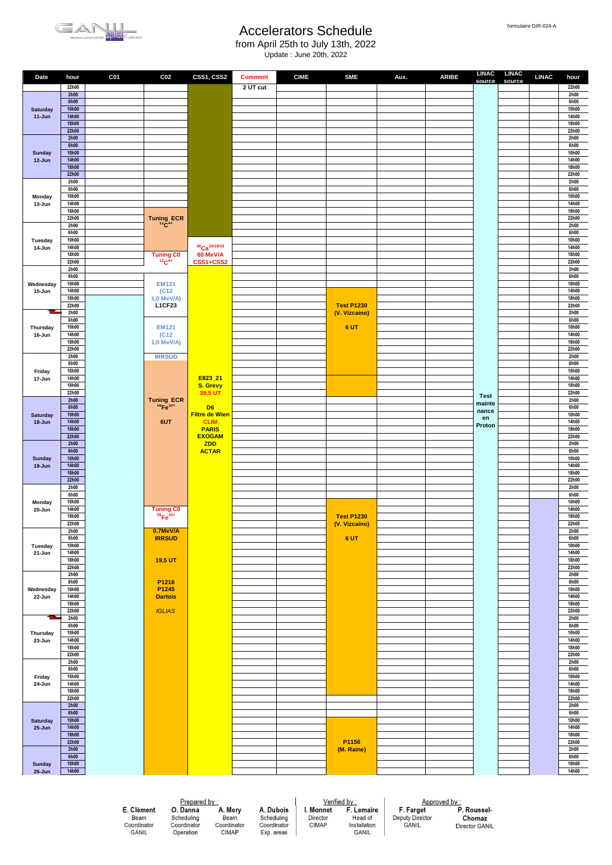

from April 25th to July 13th, 2022

Update : June 20th, 2022

| Date                          | hour                  | C <sub>01</sub>     | C <sub>02</sub>               | CSS1, CSS2                           | <b>Comment</b>            | <b>CIME</b>       | <b>SME</b>              | Aux.                     | <b>ARIBE</b> | source         | LINAC LINAC<br>source | <b>LINAC</b> | hour           |
|-------------------------------|-----------------------|---------------------|-------------------------------|--------------------------------------|---------------------------|-------------------|-------------------------|--------------------------|--------------|----------------|-----------------------|--------------|----------------|
|                               | 22h00<br>2h00         |                     |                               |                                      | 2 UT cut                  |                   |                         |                          |              |                |                       |              | 22h00<br>2h00  |
|                               | 6h00<br><b>10h00</b>  |                     |                               |                                      |                           |                   |                         |                          |              |                |                       |              | 6h00           |
| <b>Saturday</b><br>$11 - Jun$ | 14h00                 |                     |                               |                                      |                           |                   |                         |                          |              |                |                       |              | 10h00<br>14h00 |
|                               | <b>18h00</b><br>22h00 |                     |                               |                                      |                           |                   |                         |                          |              |                |                       |              | 18h00<br>22h00 |
|                               | 2h00                  |                     |                               |                                      |                           |                   |                         |                          |              |                |                       |              | 2h00           |
| <b>Sunday</b>                 | 6h00<br><b>10h00</b>  |                     |                               |                                      |                           |                   |                         |                          |              |                |                       |              | 6h00<br>10h00  |
| 12-Jun                        | 14h00                 |                     |                               |                                      |                           |                   |                         |                          |              |                |                       |              | 14h00          |
|                               | <b>18h00</b><br>22h00 |                     |                               |                                      |                           |                   |                         |                          |              |                |                       |              | 18h00<br>22h00 |
|                               | 2h00                  |                     |                               |                                      |                           |                   |                         |                          |              |                |                       |              | 2h00           |
| Monday                        | 6h00<br>10h00         |                     |                               |                                      |                           |                   |                         |                          |              |                |                       |              | 6h00<br>10h00  |
| 13-Jun                        | 14h00                 |                     |                               |                                      |                           |                   |                         |                          |              |                |                       |              | 14h00          |
|                               | 18h00<br>22h00        |                     | Tuning ECR<br>$^{12}C^{4+}$   |                                      |                           |                   |                         |                          |              |                |                       |              | 18h00<br>22h00 |
|                               | 2h00<br>6h00          |                     |                               |                                      |                           |                   |                         |                          |              |                |                       |              | 2h00<br>6h00   |
| Tuesday                       | 10h00                 |                     |                               |                                      |                           |                   |                         |                          |              |                |                       |              | 10h00          |
| 14-Jun                        | 14h00<br>18h00        |                     | <b>Tuning CO</b>              | 48Ca <sup>10/18/19</sup><br>60 MeV/A |                           |                   |                         |                          |              |                |                       |              | 14h00<br>18h00 |
|                               | 22h00                 |                     | $12C^{4+}$                    | CSS1+CSS2                            |                           |                   |                         |                          |              |                |                       |              | 22h00          |
|                               | 2h00<br>6h00          |                     |                               |                                      |                           |                   |                         |                          |              |                |                       |              | 2h00<br>6h00   |
| Wednesday                     | 10h00                 |                     | <b>EM121</b>                  |                                      |                           |                   |                         |                          |              |                |                       |              | 10h00          |
| 15-Jun                        | 14h00<br>18h00        |                     | (C12)<br>1,0 MeV/A)           |                                      |                           |                   |                         |                          |              |                |                       |              | 14h00<br>18h00 |
|                               | 22h00                 |                     | <b>L1CF23</b>                 |                                      |                           |                   | <b>Test P1230</b>       |                          |              |                |                       |              | 22h00          |
|                               | 2h00<br>6h00          |                     |                               |                                      |                           |                   | (V. Vizcaino)           |                          |              |                |                       |              | 2h00<br>6h00   |
| Thursday                      | 10h00                 |                     | <b>EM121</b>                  |                                      |                           |                   | 6 UT                    |                          |              |                |                       |              | 10h00          |
| 16-Jun                        | 14h00<br>18h00        |                     | (C12)<br>1,0 MeV/A)           |                                      |                           |                   |                         |                          |              |                |                       |              | 14h00<br>18h00 |
|                               | 22h00                 |                     |                               |                                      |                           |                   |                         |                          |              |                |                       |              | 22h00          |
|                               | 2h00<br>6h00          |                     | <b>IRRSUD</b>                 |                                      |                           |                   |                         |                          |              |                |                       |              | 2h00<br>6h00   |
| Friday                        | 10h00                 |                     |                               |                                      |                           |                   |                         |                          |              |                |                       |              | 10h00          |
| 17-Jun                        | 14h00<br>18h00        |                     |                               | E823_21<br>S. Grevy                  |                           |                   |                         |                          |              |                |                       |              | 14h00<br>18h00 |
|                               | 22h00                 |                     |                               | 39,5 UT                              |                           |                   |                         |                          |              | <b>Test</b>    |                       |              | 22h00          |
|                               | 2h00<br>6h00          |                     | Tuning ECR<br>$^{56}Fe^{10+}$ | D <sub>6</sub>                       |                           |                   |                         |                          |              | mainte         |                       |              | 2h00<br>6h00   |
| <b>Saturday</b>               | <b>10h00</b>          |                     |                               | <b>Filtre de Wien</b>                |                           |                   |                         |                          |              | nance<br>en    |                       |              | 10h00          |
| 18-Jun                        | 14h00<br>18h00        |                     | 6UT                           | <b>CLIM</b><br><b>PARIS</b>          |                           |                   |                         |                          |              | Proton         |                       |              | 14h00<br>18h00 |
|                               | 22h00<br>2h00         |                     |                               | <b>EXOGAM</b><br><b>ZDD</b>          |                           |                   |                         |                          |              |                |                       |              | 22h00<br>2h00  |
|                               | 6h00                  |                     |                               | <b>ACTAR</b>                         |                           |                   |                         |                          |              |                |                       |              | 6h00           |
| <b>Sunday</b>                 | <b>10h00</b><br>14h00 |                     |                               |                                      |                           |                   |                         |                          |              |                |                       |              | 10h00<br>14h00 |
| 19-Jun                        | <b>18h00</b>          |                     |                               |                                      |                           |                   |                         |                          |              |                |                       |              | 18h00          |
|                               | 22h00<br>2h00         |                     |                               |                                      |                           |                   |                         |                          |              |                |                       |              | 22h00<br>2h00  |
|                               | 6h00                  |                     |                               |                                      |                           |                   |                         |                          |              |                |                       |              | 6h00           |
| Monday<br>20-Jun              | 10h00<br>14h00        |                     | <b>Tuning CO</b>              |                                      |                           |                   |                         |                          |              |                |                       |              | 10h00<br>14h00 |
|                               | 18h00                 |                     | $56Fe$ <sup>10+</sup>         |                                      |                           |                   | <b>Test P1230</b>       |                          |              |                |                       |              | 18h00          |
|                               | 22h00<br>2h00         |                     | 0.7MeV/A                      |                                      |                           |                   | (V. Vizcaino)           |                          |              |                |                       |              | 22h00<br>2h00  |
|                               | 6h00                  |                     | <b>IRRSUD</b>                 |                                      |                           |                   | 6 UT                    |                          |              |                |                       |              | 6h00           |
| Tuesday<br>21-Jun             | 10h00<br>14h00        |                     |                               |                                      |                           |                   |                         |                          |              |                |                       |              | 10h00<br>14h00 |
|                               | 18h00                 |                     | 19,5 UT                       |                                      |                           |                   |                         |                          |              |                |                       |              | 18h00          |
|                               | 22h00<br>2h00         |                     |                               |                                      |                           |                   |                         |                          |              |                |                       |              | 22h00<br>2h00  |
|                               | 6h00                  |                     | P1216                         |                                      |                           |                   |                         |                          |              |                |                       |              | 6h00           |
| Wednesday<br>22-Jun           | 10h00<br>14h00        |                     | P1245<br><b>Dartois</b>       |                                      |                           |                   |                         |                          |              |                |                       |              | 10h00<br>14h00 |
|                               | 18h00<br>22h00        |                     | <b>IGLIAS</b>                 |                                      |                           |                   |                         |                          |              |                |                       |              | 18h00<br>22h00 |
|                               | 2h00                  |                     |                               |                                      |                           |                   |                         |                          |              |                |                       |              | 2h00           |
| Thursday                      | 6h00<br>10h00         |                     |                               |                                      |                           |                   |                         |                          |              |                |                       |              | 6h00<br>10h00  |
| 23-Jun                        | 14h00                 |                     |                               |                                      |                           |                   |                         |                          |              |                |                       |              | 14h00          |
|                               | 18h00<br>22h00        |                     |                               |                                      |                           |                   |                         |                          |              |                |                       |              | 18h00<br>22h00 |
|                               | 2h00                  |                     |                               |                                      |                           |                   |                         |                          |              |                |                       |              | 2h00           |
| Friday                        | 6h00<br>10h00         |                     |                               |                                      |                           |                   |                         |                          |              |                |                       |              | 6h00<br>10h00  |
| 24-Jun                        | 14h00                 |                     |                               |                                      |                           |                   |                         |                          |              |                |                       |              | 14h00          |
|                               | 18h00<br>22h00        |                     |                               |                                      |                           |                   |                         |                          |              |                |                       |              | 18h00<br>22h00 |
|                               | 2h00                  |                     |                               |                                      |                           |                   |                         |                          |              |                |                       |              | 2h00           |
| <b>Saturday</b>               | 6h00<br><b>10h00</b>  |                     |                               |                                      |                           |                   |                         |                          |              |                |                       |              | 6h00<br>10h00  |
| $25 - Jun$                    | 14h00                 |                     |                               |                                      |                           |                   |                         |                          |              |                |                       |              | 14h00          |
|                               | <b>18h00</b><br>22h00 |                     |                               |                                      |                           |                   | P1156                   |                          |              |                |                       |              | 18h00<br>22h00 |
|                               | 2h00<br>6h00          |                     |                               |                                      |                           |                   | (M. Raine)              |                          |              |                |                       |              | 2h00<br>6h00   |
| <b>Sunday</b>                 | <b>10h00</b>          |                     |                               |                                      |                           |                   |                         |                          |              |                |                       |              | 10h00          |
| 26-Jun                        | <b>14h00</b>          |                     |                               |                                      |                           |                   |                         |                          |              |                |                       |              | 14h00          |
|                               |                       |                     |                               |                                      |                           |                   |                         |                          |              |                |                       |              |                |
|                               |                       |                     |                               | Prepared by:                         |                           |                   | Verified by:            |                          | Approved by: |                |                       |              |                |
|                               |                       | E. Clément          | O. Danna                      | A. Mery                              | A. Dubois                 | I. Monnet         | F. Lemaire              | F. Farget                |              | P. Roussel-    |                       |              |                |
|                               |                       | Beam<br>Coordinator | Scheduling<br>Coordinator     | Beam<br>Coordinator                  | Scheduling<br>Coordinator | Director<br>CIMAP | Head of<br>Installation | Deputy Director<br>GANIL |              | Chomaz         |                       |              |                |
|                               |                       | GANIL               | Operation                     | <b>CIMAP</b>                         | Exp. areas                |                   | <b>GANIL</b>            |                          |              | Director GANIL |                       |              |                |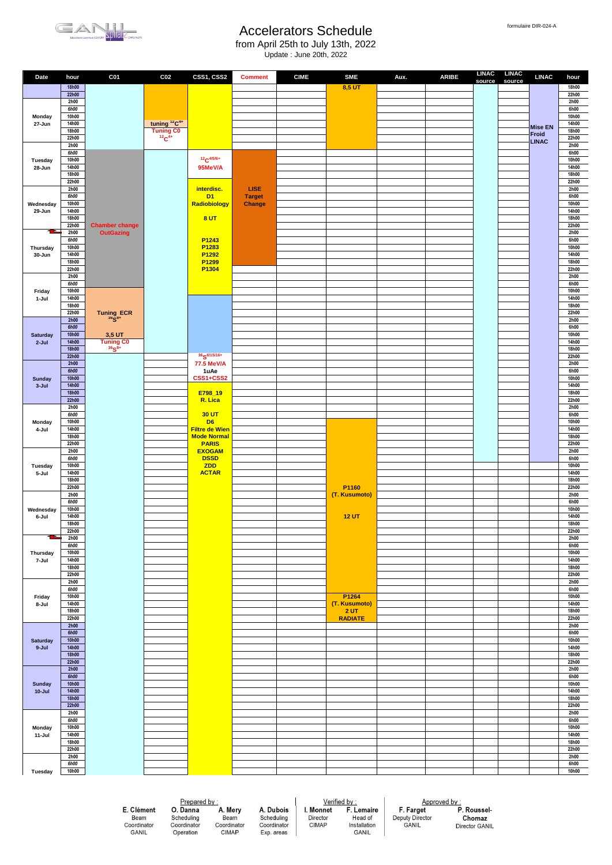

from April 25th to July 13th, 2022 Update : June 20th, 2022

| Date                       | hour                  | C <sub>01</sub>                                                                        | C <sub>02</sub>                      | CSS1, CSS2                         | <b>Comment</b>          | <b>CIME</b> | <b>SME</b>             | Aux. | <b>ARIBE</b> | <b>LINAC</b> | <b>LINAC</b> | <b>LINAC</b>            | hour           |
|----------------------------|-----------------------|----------------------------------------------------------------------------------------|--------------------------------------|------------------------------------|-------------------------|-------------|------------------------|------|--------------|--------------|--------------|-------------------------|----------------|
|                            | <b>18h00</b>          |                                                                                        |                                      |                                    |                         |             | 8,5 UT                 |      |              | source       | source       |                         | 18h00          |
|                            | 22h00<br>2h00         |                                                                                        |                                      |                                    |                         |             |                        |      |              |              |              |                         | 22h00<br>2h00  |
|                            | <b>6h00</b>           |                                                                                        |                                      |                                    |                         |             |                        |      |              |              |              |                         | 6h00           |
| Monday<br>27-Jun           | 10h00<br>14h00        |                                                                                        | tuning <sup>12</sup> C <sup>4+</sup> |                                    |                         |             |                        |      |              |              |              |                         | 10h00<br>14h00 |
|                            | 18h00                 |                                                                                        | Tuning CO                            |                                    |                         |             |                        |      |              |              |              | <b>Mise EN</b><br>Froid | <b>18h00</b>   |
|                            | 22h00<br>2h00         |                                                                                        |                                      |                                    |                         |             |                        |      |              |              |              | <b>LINAC</b>            | 22h00<br>2h00  |
|                            | <b>6h00</b><br>10h00  |                                                                                        |                                      | $12C^{4/5/6+}$                     |                         |             |                        |      |              |              |              |                         | 6h00<br>10h00  |
| Tuesday<br>28-Jun          | 14h00                 |                                                                                        |                                      | 95MeV/A                            |                         |             |                        |      |              |              |              |                         | 14h00          |
|                            | 18h00<br>22h00        |                                                                                        |                                      |                                    |                         |             |                        |      |              |              |              |                         | 18h00<br>22h00 |
|                            | 2h00                  |                                                                                        |                                      | interdisc.                         | <b>LISE</b>             |             |                        |      |              |              |              |                         | 2h00           |
| Wednesday                  | 6h00<br>10h00         |                                                                                        |                                      | D <sub>1</sub><br>Radiobiology     | <b>Target</b><br>Change |             |                        |      |              |              |              |                         | 6h00<br>10h00  |
| 29-Jun                     | 14h00                 |                                                                                        |                                      |                                    |                         |             |                        |      |              |              |              |                         | 14h00          |
|                            | 18h00<br>22h00        | <b>Chamber change</b>                                                                  |                                      | 8 UT                               |                         |             |                        |      |              |              |              |                         | 18h00<br>22h00 |
|                            | 2h00<br>6h00          | <b>OutGazing</b>                                                                       |                                      | P1243                              |                         |             |                        |      |              |              |              |                         | 2h00<br>6h00   |
| Thursday                   | 10h00                 |                                                                                        |                                      | P <sub>1283</sub>                  |                         |             |                        |      |              |              |              |                         | 10h00          |
| 30-Jun                     | 14h00<br>18h00        |                                                                                        |                                      | P1292<br>P <sub>1299</sub>         |                         |             |                        |      |              |              |              |                         | 14h00<br>18h00 |
|                            | 22h00                 |                                                                                        |                                      | P1304                              |                         |             |                        |      |              |              |              |                         | 22h00          |
|                            | 2h00<br>6h00          |                                                                                        |                                      |                                    |                         |             |                        |      |              |              |              |                         | 2h00<br>6h00   |
| Friday                     | 10h00                 |                                                                                        |                                      |                                    |                         |             |                        |      |              |              |              |                         | 10h00          |
| 1-Jul                      | 14h00<br>18h00        |                                                                                        |                                      |                                    |                         |             |                        |      |              |              |              |                         | 14h00<br>18h00 |
|                            | 22h00<br>2h00         | $\begin{array}{ll}\text{Tuning} & \text{ECR} \\ \text{^{36}S}^{\text{8+}} \end{array}$ |                                      |                                    |                         |             |                        |      |              |              |              |                         | 22h00<br>2h00  |
|                            | 6h00                  |                                                                                        |                                      |                                    |                         |             |                        |      |              |              |              |                         | 6h00           |
| Saturday<br>$2-Jul$        | 10h00<br><b>14h00</b> | 3,5 UT                                                                                 |                                      |                                    |                         |             |                        |      |              |              |              |                         | 10h00<br>14h00 |
|                            | <b>18h00</b>          | Tuning CO $36_58+$                                                                     |                                      |                                    |                         |             |                        |      |              |              |              |                         | 18h00          |
|                            | 22h00<br>2h00         |                                                                                        |                                      | 36 S8/15/16+<br>77.5 MeV/A         |                         |             |                        |      |              |              |              |                         | 22h00<br>2h00  |
|                            | <b>6h00</b>           |                                                                                        |                                      | 1uAe                               |                         |             |                        |      |              |              |              |                         | 6h00           |
| <b>Sunday</b><br>$3 -$ Jul | 10h00<br>14h00        |                                                                                        |                                      | CSS1+CSS2                          |                         |             |                        |      |              |              |              |                         | 10h00<br>14h00 |
|                            | <b>18h00</b>          |                                                                                        |                                      | E798_19                            |                         |             |                        |      |              |              |              |                         | 18h00          |
|                            | 22h00<br>2h00         |                                                                                        |                                      | R. Lica                            |                         |             |                        |      |              |              |              |                         | 22h00<br>2h00  |
|                            | 6h00<br>10h00         |                                                                                        |                                      | 30 UT<br>D <sub>6</sub>            |                         |             |                        |      |              |              |              |                         | 6h00<br>10h00  |
| Monday<br>4-Jul            | 14h00                 |                                                                                        |                                      | <b>Filtre de Wien</b>              |                         |             |                        |      |              |              |              |                         | 14h00          |
|                            | 18h00<br>22h00        |                                                                                        |                                      | <b>Mode Normal</b><br><b>PARIS</b> |                         |             |                        |      |              |              |              |                         | 18h00<br>22h00 |
|                            | 2h00                  |                                                                                        |                                      | <b>EXOGAM</b>                      |                         |             |                        |      |              |              |              |                         | 2h00           |
| Tuesday                    | 6h00<br>10h00         |                                                                                        |                                      | <b>DSSD</b><br>ZDD                 |                         |             |                        |      |              |              |              |                         | 6h00<br>10h00  |
| 5-Jul                      | 14h00                 |                                                                                        |                                      | <b>ACTAR</b>                       |                         |             |                        |      |              |              |              |                         | 14h00          |
|                            | 18h00<br>22h00        |                                                                                        |                                      |                                    |                         |             | P1160                  |      |              |              |              |                         | 18h00<br>22h00 |
|                            | 2h00<br>6h00          |                                                                                        |                                      |                                    |                         |             | (T. Kusumoto)          |      |              |              |              |                         | 2h00<br>6h00   |
| Wednesday                  | 10h00                 |                                                                                        |                                      |                                    |                         |             |                        |      |              |              |              |                         | 10h00          |
| 6-Jul                      | 14h00<br>18h00        |                                                                                        |                                      |                                    |                         |             | <b>12 UT</b>           |      |              |              |              |                         | 14h00<br>18h00 |
| œ                          | 22h00                 |                                                                                        |                                      |                                    |                         |             |                        |      |              |              |              |                         | 22h00          |
|                            | 2h00<br>6h00          |                                                                                        |                                      |                                    |                         |             |                        |      |              |              |              |                         | 2h00<br>6h00   |
| Thursday                   | 10h00<br>14h00        |                                                                                        |                                      |                                    |                         |             |                        |      |              |              |              |                         | 10h00<br>14h00 |
| 7-Jul                      | 18h00                 |                                                                                        |                                      |                                    |                         |             |                        |      |              |              |              |                         | 18h00          |
|                            | 22h00<br>2h00         |                                                                                        |                                      |                                    |                         |             |                        |      |              |              |              |                         | 22h00<br>2h00  |
|                            | 6h00                  |                                                                                        |                                      |                                    |                         |             |                        |      |              |              |              |                         | 6h00           |
| Friday<br>8-Jul            | 10h00<br>14h00        |                                                                                        |                                      |                                    |                         |             | P1264<br>(T. Kusumoto) |      |              |              |              |                         | 10h00<br>14h00 |
|                            | 18h00                 |                                                                                        |                                      |                                    |                         |             | 2 <sub>UT</sub>        |      |              |              |              |                         | 18h00          |
|                            | 22h00<br>2h00         |                                                                                        |                                      |                                    |                         |             | <b>RADIATE</b>         |      |              |              |              |                         | 22h00<br>2h00  |
| <b>Saturday</b>            | <b>6h00</b><br>10h00  |                                                                                        |                                      |                                    |                         |             |                        |      |              |              |              |                         | 6h00<br>10h00  |
| $9 -$ Jul                  | 14h00                 |                                                                                        |                                      |                                    |                         |             |                        |      |              |              |              |                         | 14h00          |
|                            | 18h00<br>22h00        |                                                                                        |                                      |                                    |                         |             |                        |      |              |              |              |                         | 18h00<br>22h00 |
|                            | 2h00                  |                                                                                        |                                      |                                    |                         |             |                        |      |              |              |              |                         | 2h00           |
| <b>Sunday</b>              | <b>6h00</b><br>10h00  |                                                                                        |                                      |                                    |                         |             |                        |      |              |              |              |                         | 6h00<br>10h00  |
| $10 -$ Jul                 | 14h00<br><b>18h00</b> |                                                                                        |                                      |                                    |                         |             |                        |      |              |              |              |                         | 14h00<br>18h00 |
|                            | 22h00                 |                                                                                        |                                      |                                    |                         |             |                        |      |              |              |              |                         | 22h00          |
|                            | 2h00<br>6h00          |                                                                                        |                                      |                                    |                         |             |                        |      |              |              |              |                         | 2h00<br>6h00   |
| Monday                     | 10h00                 |                                                                                        |                                      |                                    |                         |             |                        |      |              |              |              |                         | 10h00          |
| 11-Jul                     | 14h00<br>18h00        |                                                                                        |                                      |                                    |                         |             |                        |      |              |              |              |                         | 14h00<br>18h00 |
|                            | 22h00                 |                                                                                        |                                      |                                    |                         |             |                        |      |              |              |              |                         | 22h00          |
|                            | 2h00<br>6h00          |                                                                                        |                                      |                                    |                         |             |                        |      |              |              |              |                         | 2h00<br>6h00   |
| Tuesday                    | 10h00                 |                                                                                        |                                      |                                    |                         |             |                        |      |              |              |              |                         | 10h00          |
|                            |                       |                                                                                        |                                      |                                    |                         |             |                        |      |              |              |              |                         |                |

E. Clément E. Ordinator<br>Beam<br>Coordinator<br>GANIL

Prepared by :<br> **O. Danna**<br>
Scheduling<br>
Coordinator C Operation

A. Mery A. Dubois Beam<br>Coordinator<br>CIMAP Scheduling<br>Coordinator Exp. areas  $Verified by :  
I. Monnet F. Lemaire$ </u> Director<br>CIMAP Head of<br>Installation<br>GANIL

Approved by :<br>
F. Farget P. Roussel-<br>
Deputy Director Chomaz<br>
GANIL Director GANIL